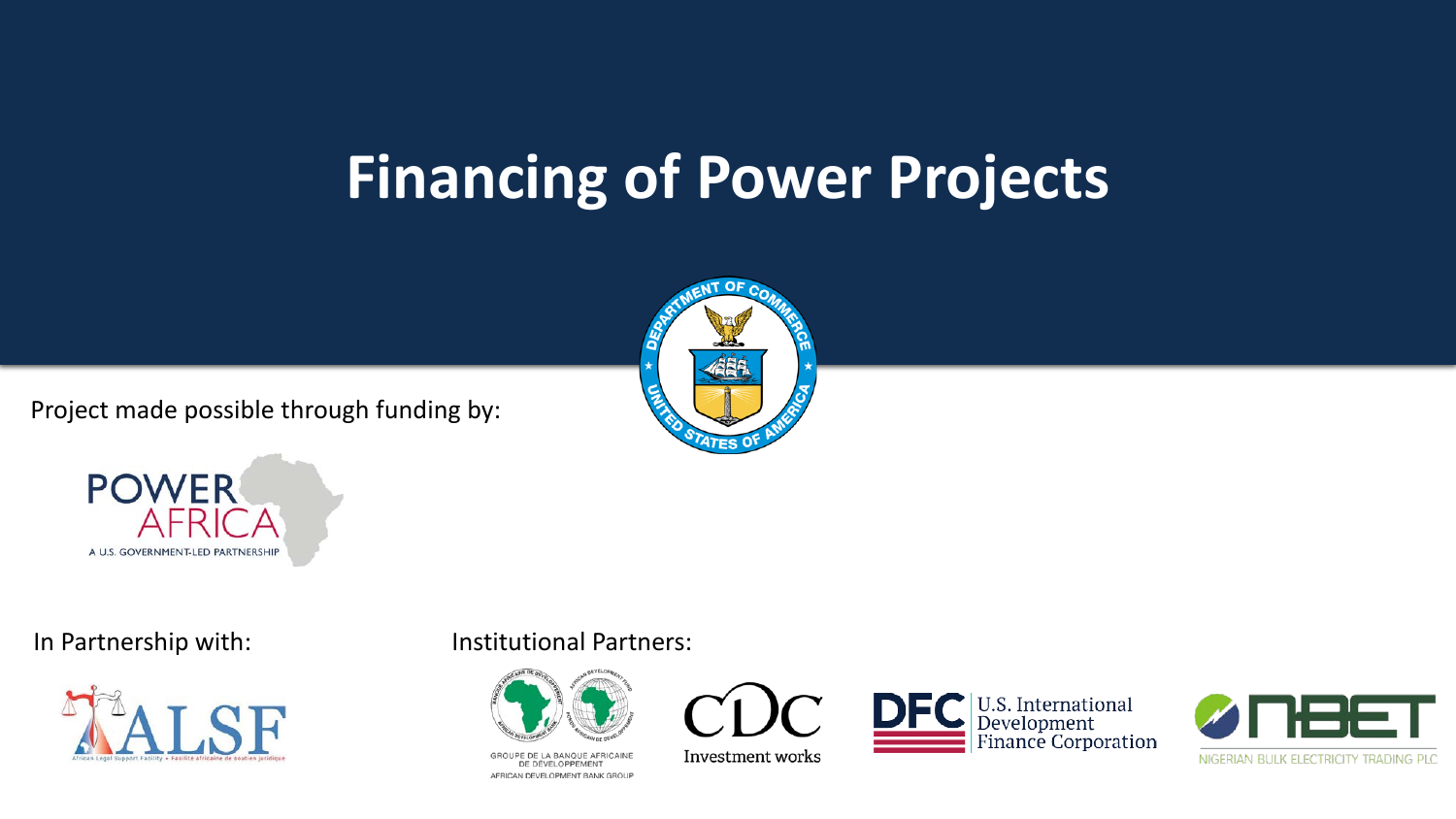## **Financing of Power Projects**

Project made possible through funding by:







#### In Partnership with: Institutional Partners:



GROUPE DE LA BANQUE AFRICAINE DE DÉVELOPPEMENT AFRICAN DEVELOPMENT BANK GROUP



Investment works



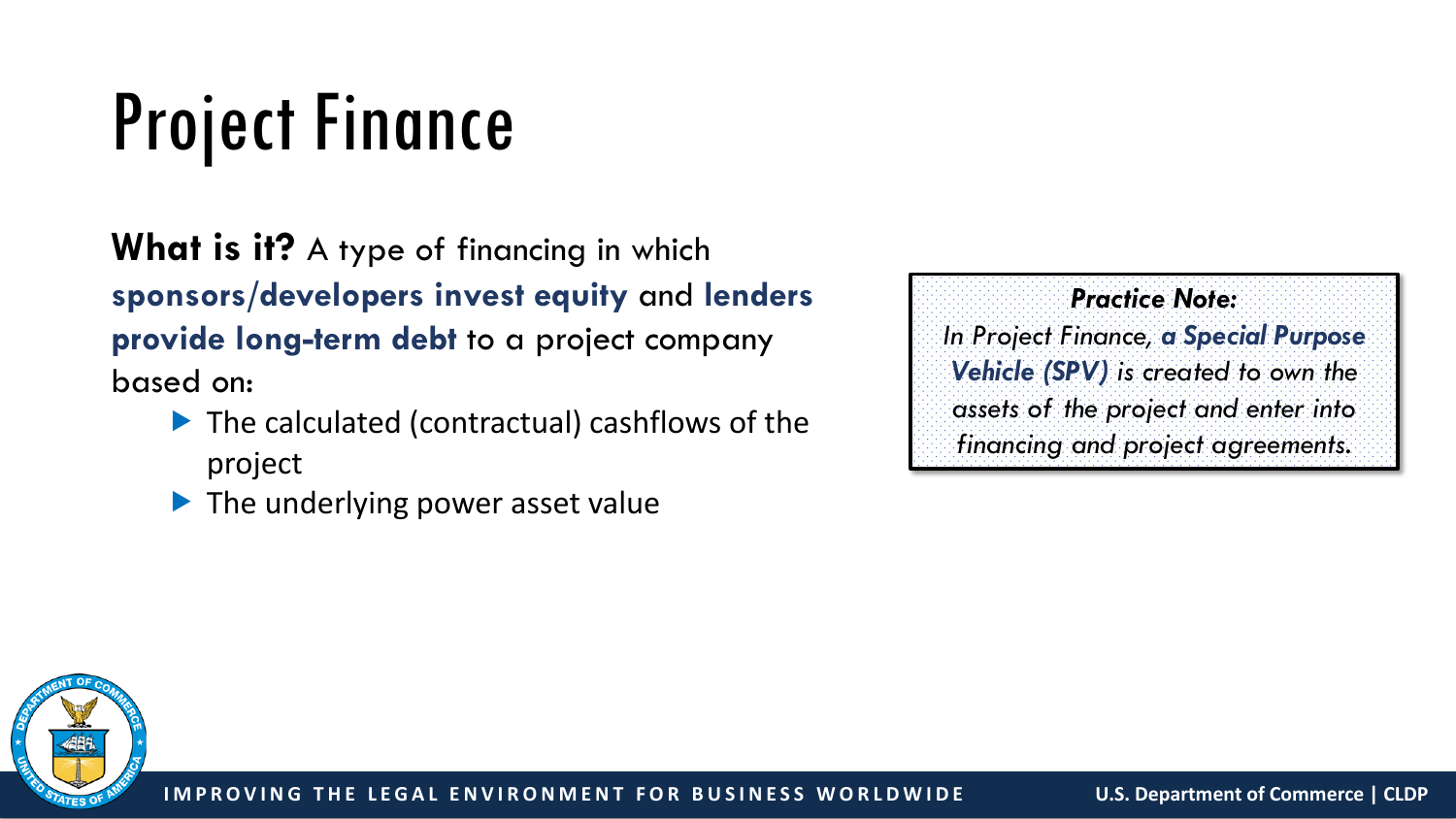# Project Finance

**What is it?** A type of financing in which **sponsors/developers invest equity** and **lenders provide long-term debt** to a project company based on:

- ▶ The calculated (contractual) cashflows of the project
- $\blacktriangleright$  The underlying power asset value

*Practice Note: In Project Finance, a Special Purpose Vehicle (SPV) is created to own the assets of the project and enter into financing and project agreements.*

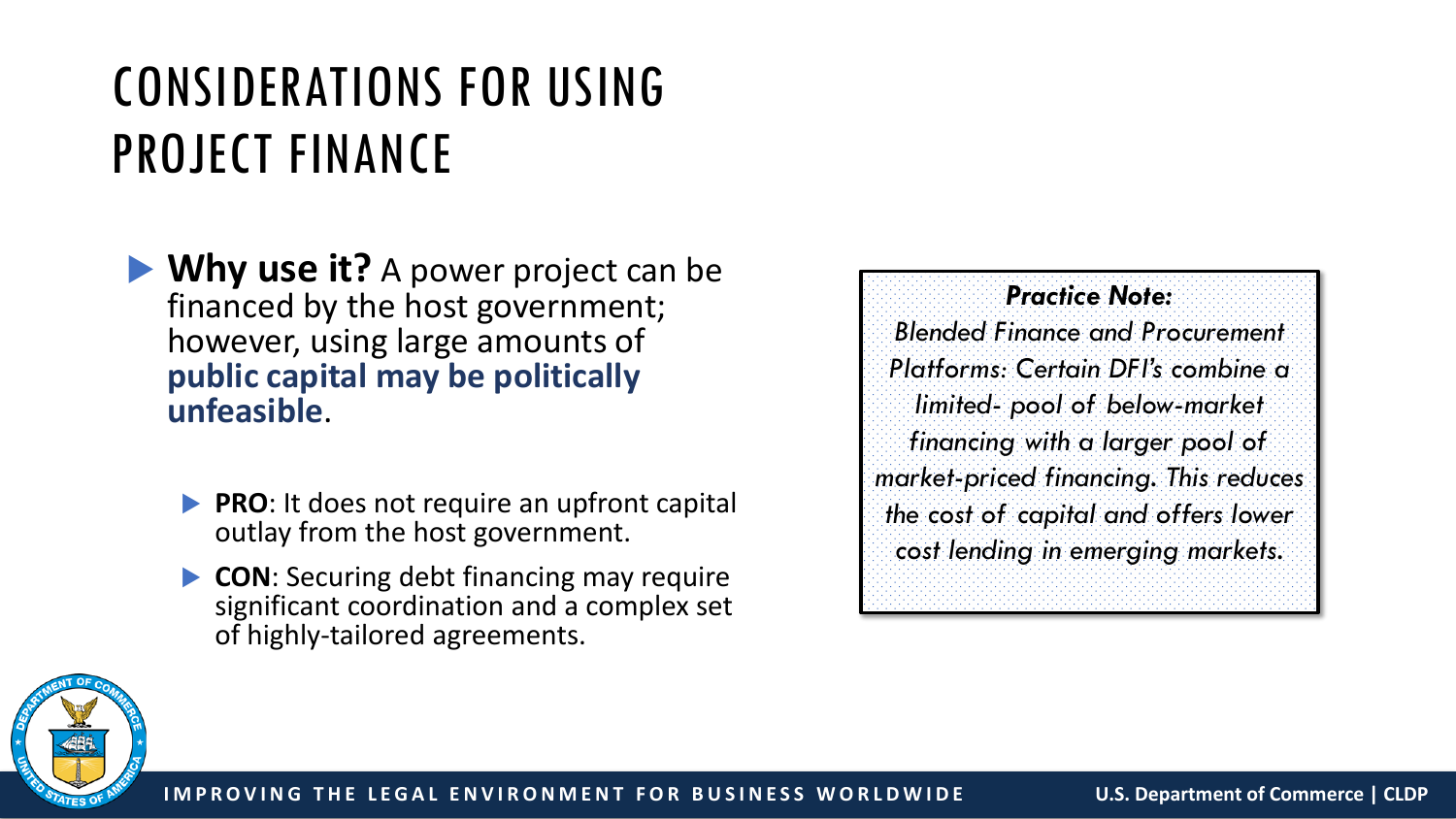## CONSIDERATIONS FOR USING PROJECT FINANCE

**Why use it?** A power project can be financed by the host government; however, using large amounts of **public capital may be politically unfeasible**.

- **PRO:** It does not require an upfront capital outlay from the host government.
- **CON**: Securing debt financing may require significant coordination and a complex set of highly-tailored agreements.

*Practice Note: Blended Finance and Procurement Platforms: Certain DFI's combine a limited- pool of below-market financing with a larger pool of market-priced financing. This reduces the cost of capital and offers lower cost lending in emerging markets.*

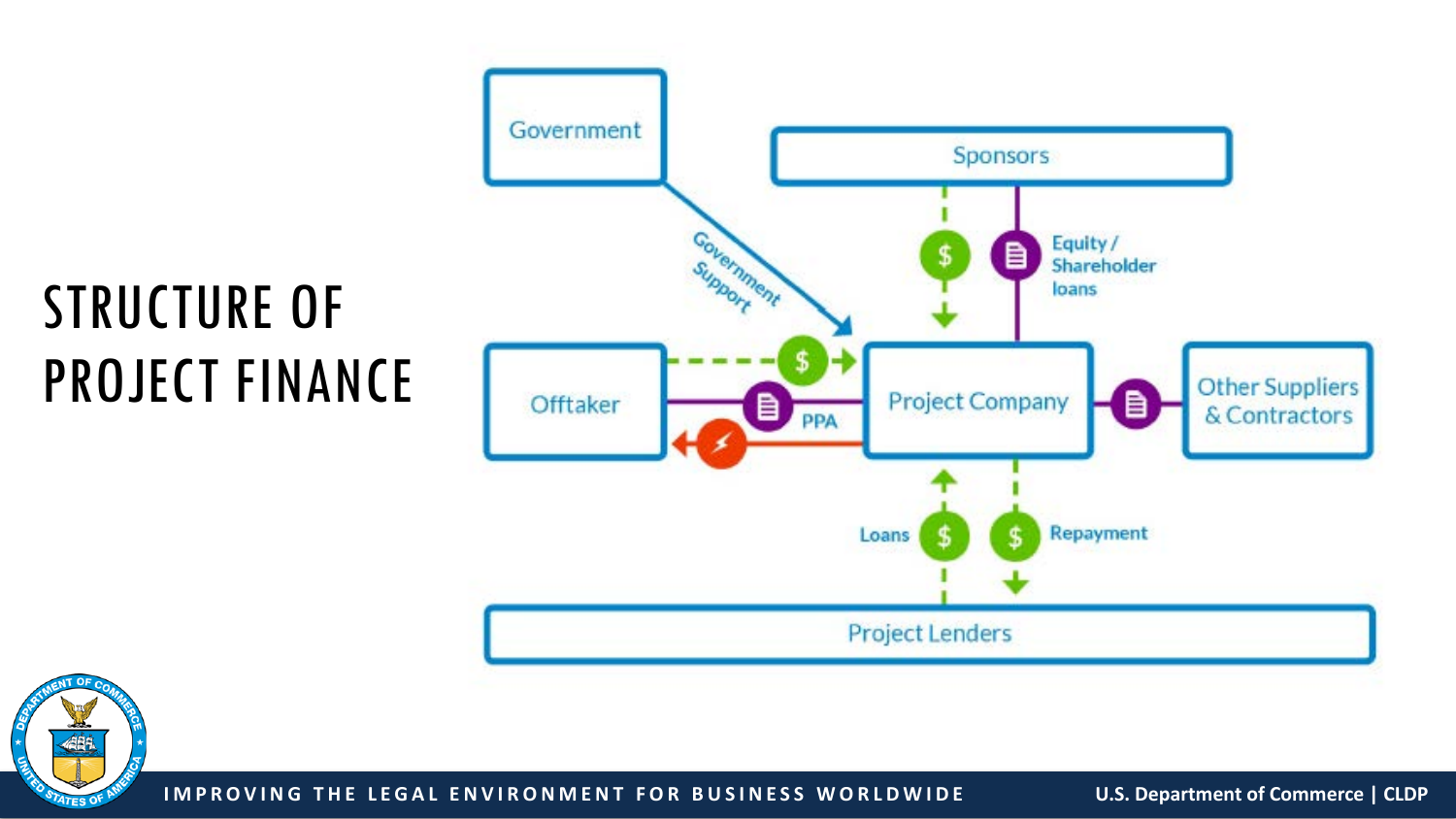## STRUCTURE OF PROJECT FINANCE





**IMPROVING THE LEGAL ENVIRONMENT FOR BUSINESS WORLDWIDE U.S. Department of Commerce | CLDP**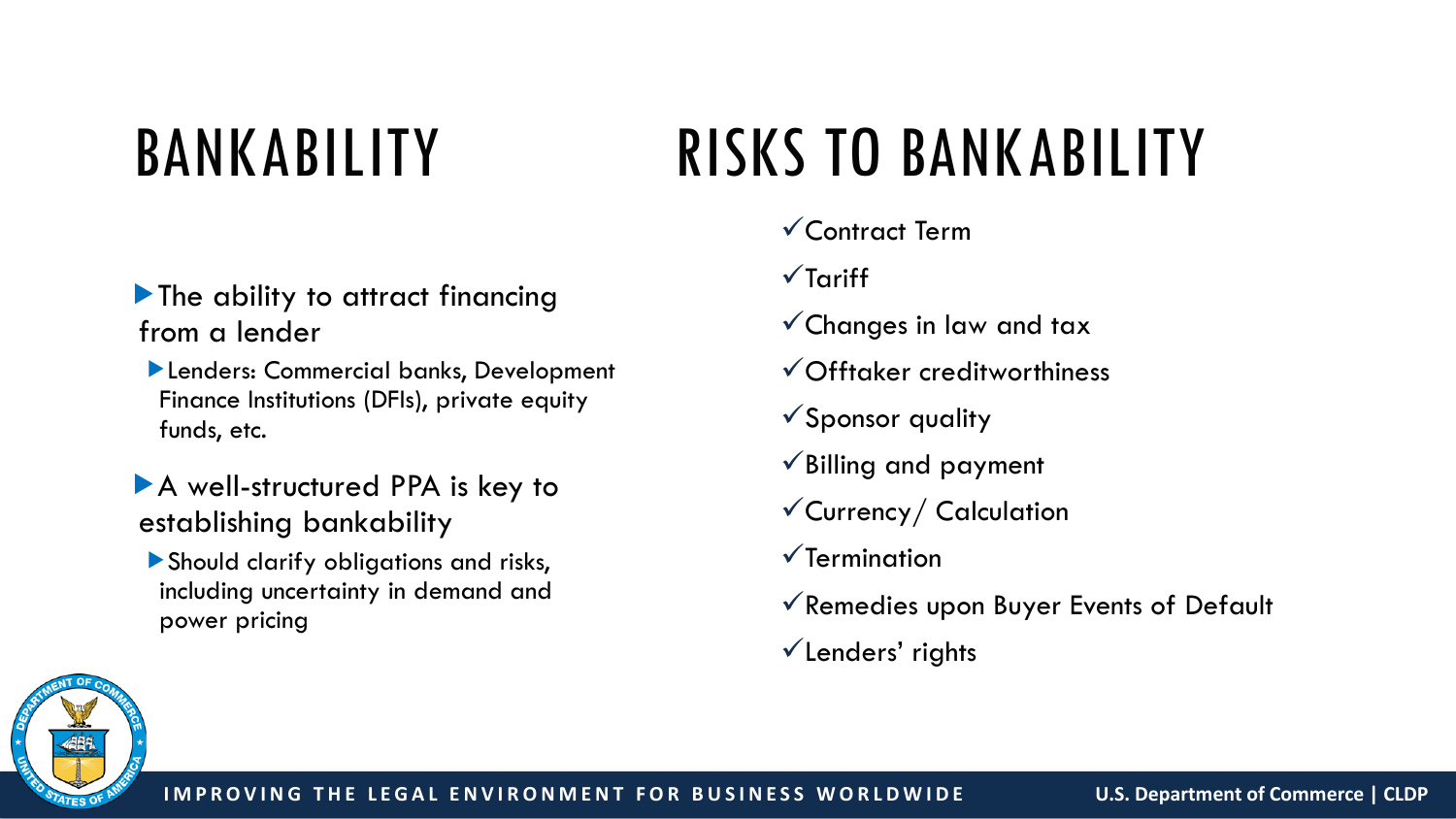# BANKABILITY

#### The ability to attract financing from a lender

- Lenders: Commercial banks, Development Finance Institutions (DFIs), private equity funds, etc.
- A well-structured PPA is key to establishing bankability
- Should clarify obligations and risks, including uncertainty in demand and power pricing

# RISKS TO BANKABILITY

#### Contract Term

- $\sqrt{\ }$ Tariff
- $\checkmark$  Changes in law and tax
- Offtaker creditworthiness
- $\checkmark$  Sponsor quality
- $\checkmark$  Billing and payment
- Currency/ Calculation
- $\sqrt{\ }$ Termination
- $\checkmark$  Remedies upon Buyer Events of Default
- $\checkmark$  Lenders' rights

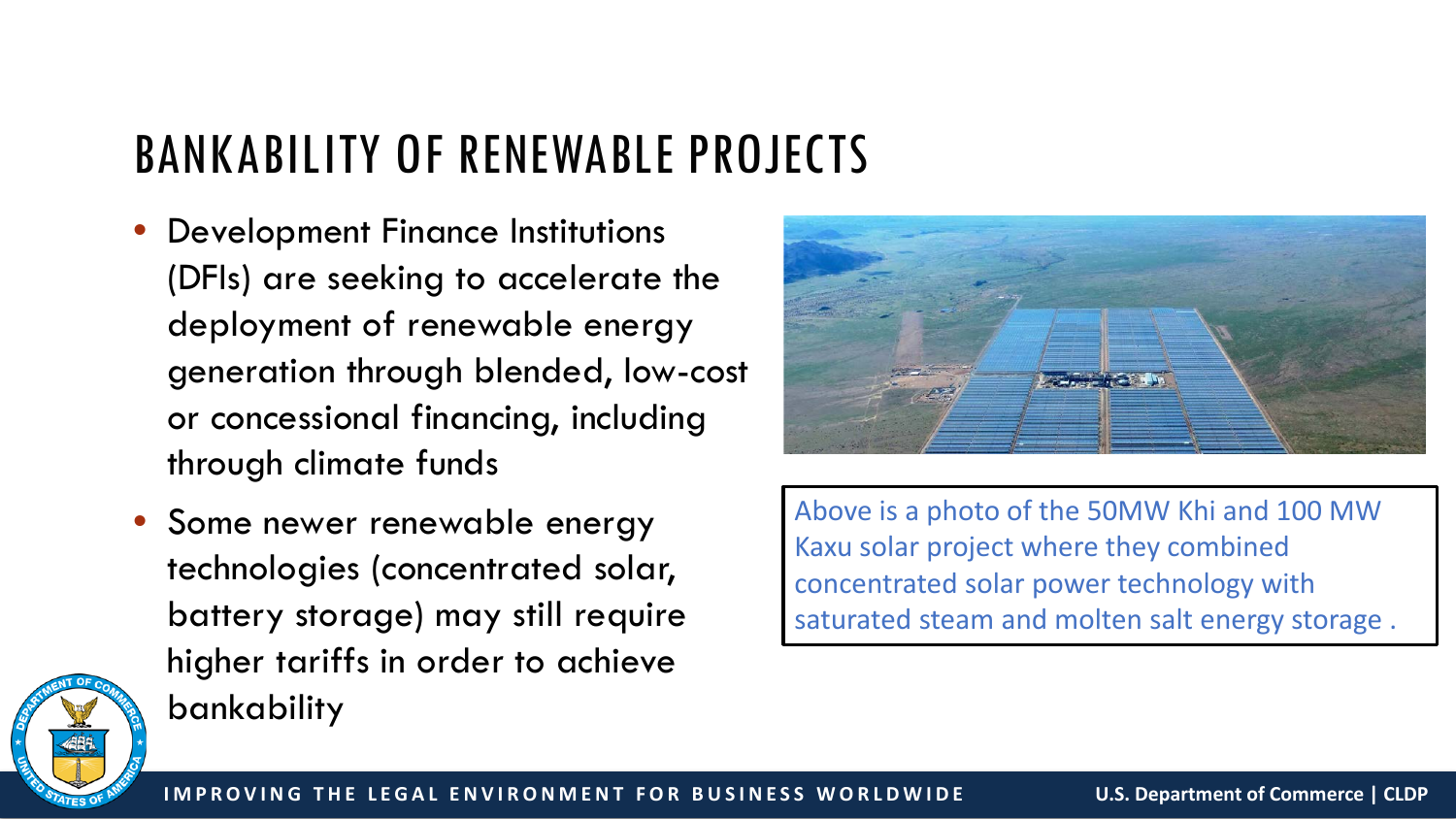### BANKABILITY OF RENEWABLE PROJECTS

- Development Finance Institutions (DFIs) are seeking to accelerate the deployment of renewable energy generation through blended, low-cost or concessional financing, including through climate funds
- Some newer renewable energy technologies (concentrated solar, battery storage) may still require higher tariffs in order to achieve bankability



Above is a photo of the 50MW Khi and 100 MW Kaxu solar project where they combined concentrated solar power technology with saturated steam and molten salt energy storage .

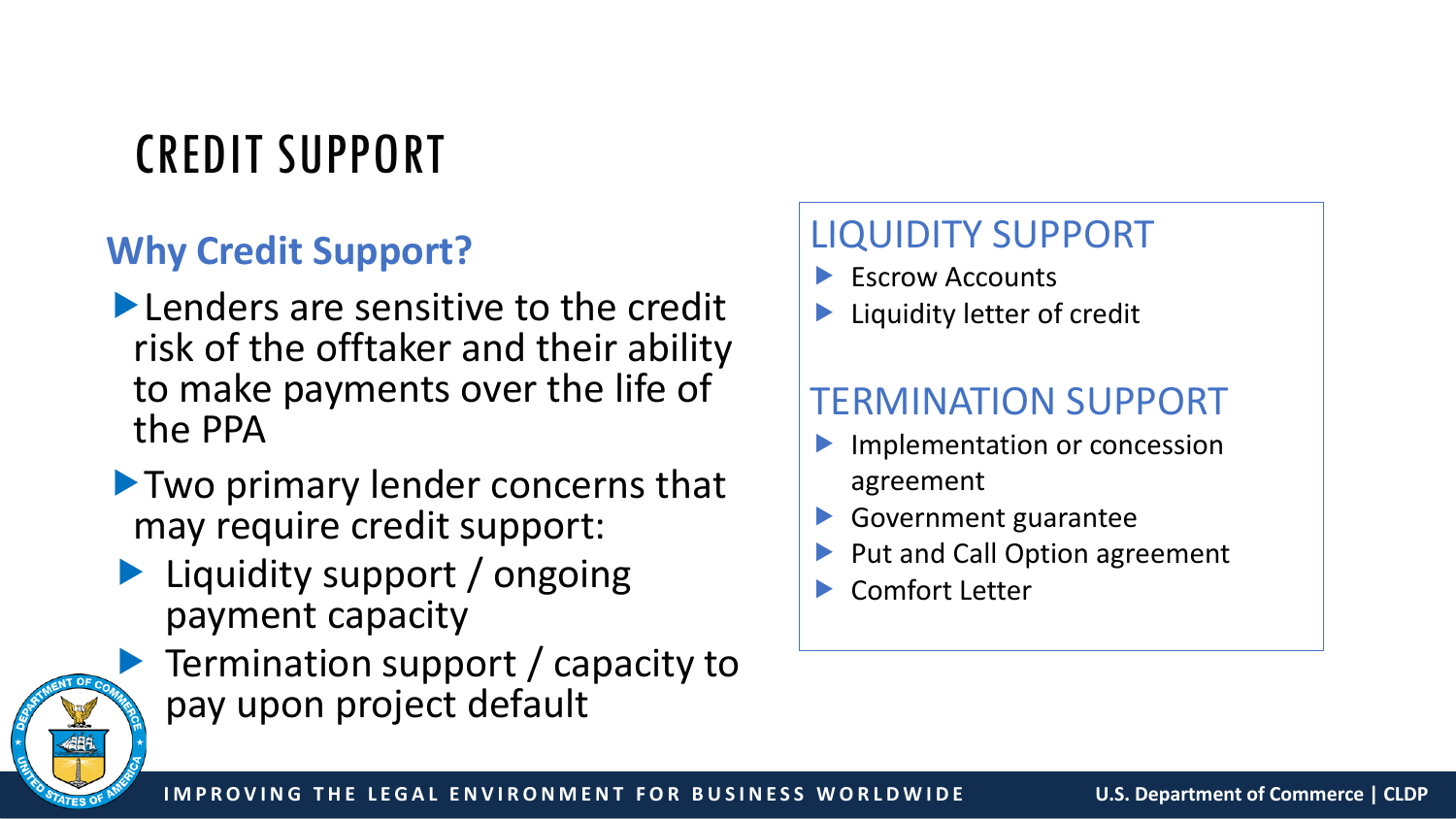### CREDIT SUPPORT

### **Why Credit Support?**

- **Lenders are sensitive to the credit** risk of the offtaker and their ability to make payments over the life of the PPA
- **Two primary lender concerns that** may require credit support:
- **Liquidity support / ongoing** payment capacity



**Termination support / capacity to** pay upon project default

### LIQUIDITY SUPPORT

- Escrow Accounts
- Liquidity letter of credit

### TERMINATION SUPPORT

- Implementation or concession agreement
- Government guarantee
- Put and Call Option agreement
- Comfort Letter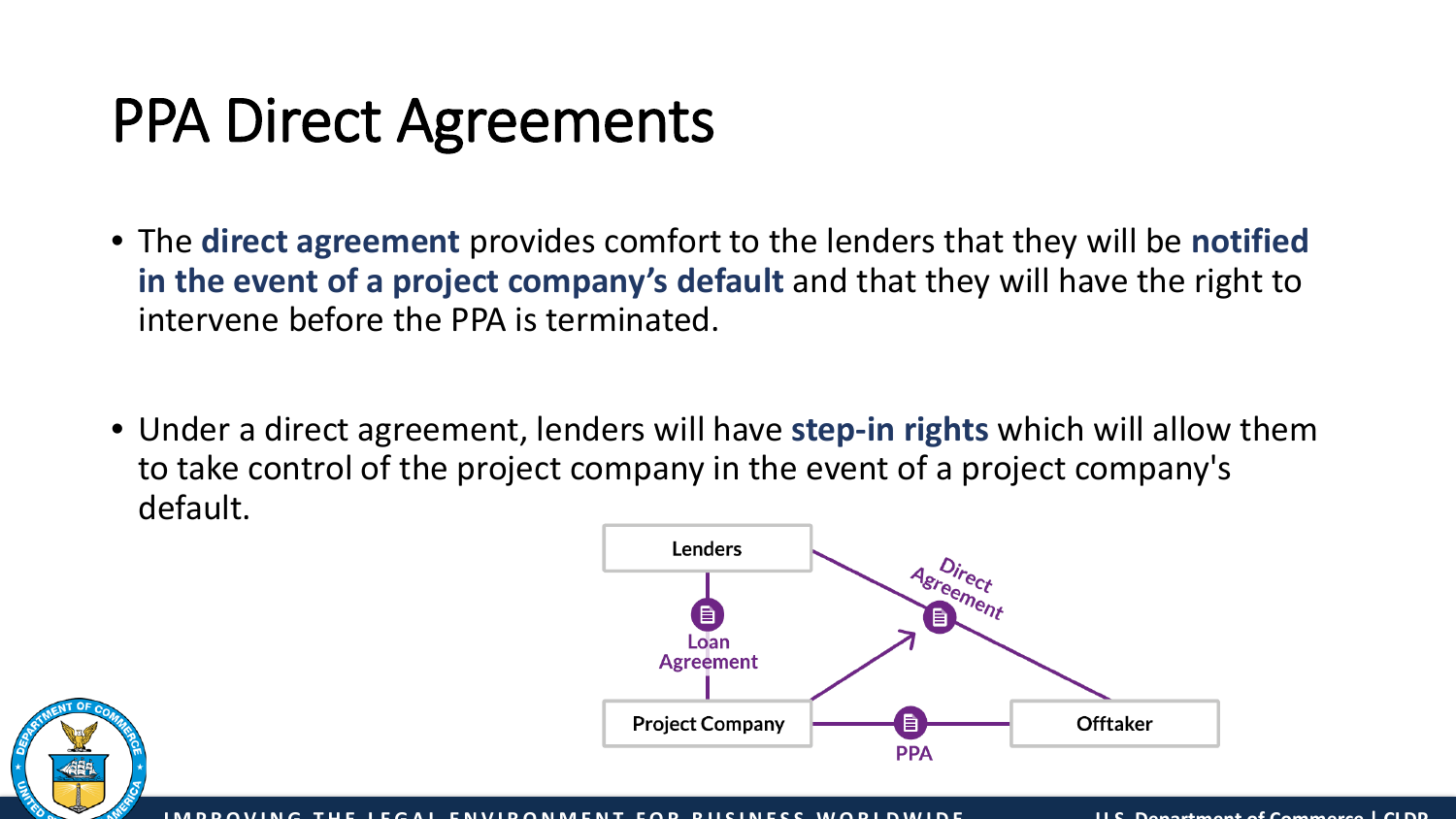## PPA Direct Agreements

- The **direct agreement** provides comfort to the lenders that they will be **notified in the event of a project company's default** and that they will have the right to intervene before the PPA is terminated.
- Under a direct agreement, lenders will have **step-in rights** which will allow them to take control of the project company in the event of a project company's default.



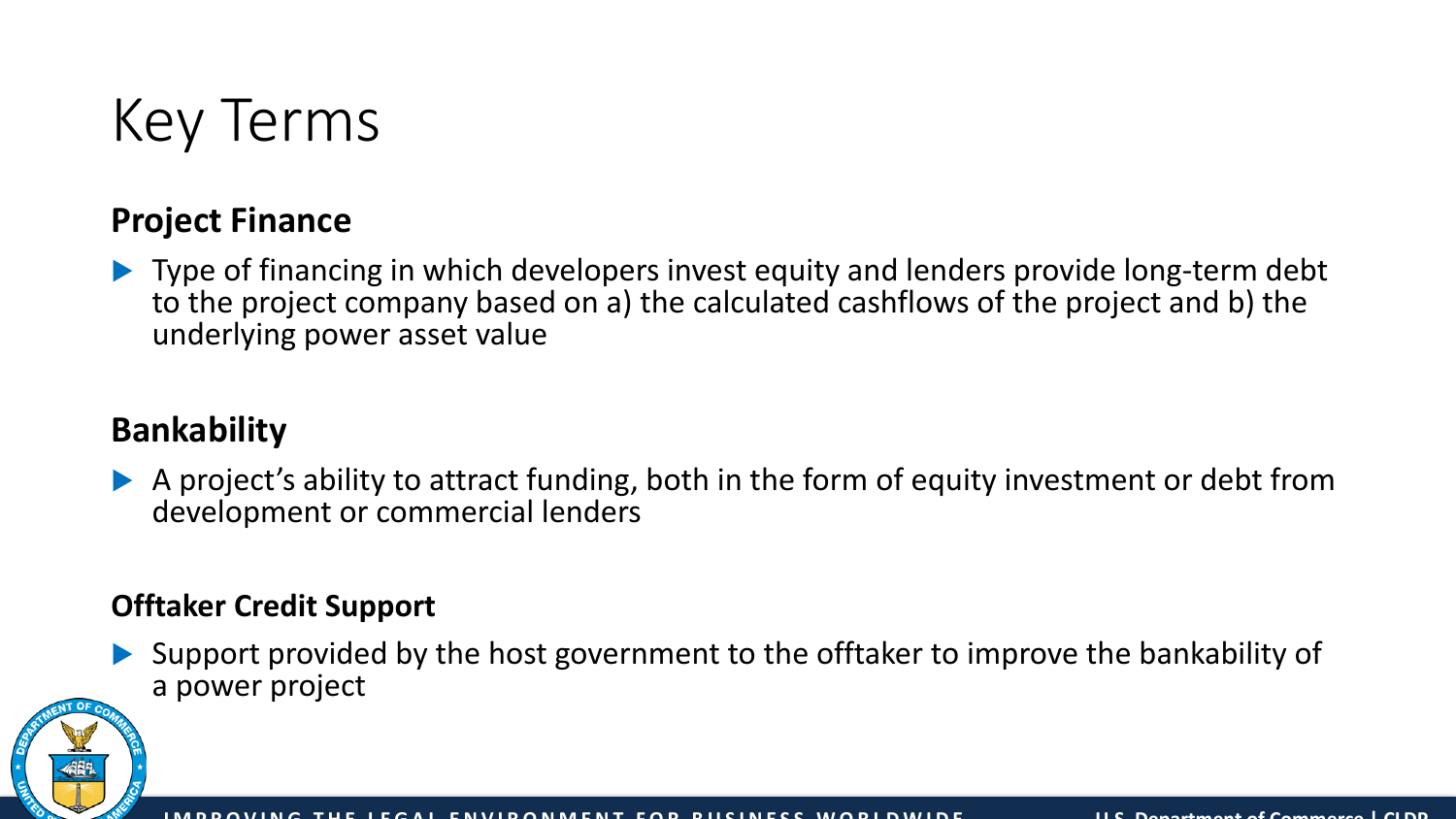

#### **Project Finance**

 Type of financing in which developers invest equity and lenders provide long-term debt to the project company based on a) the calculated cashflows of the project and b) the underlying power asset value

### **Bankability**

 A project's ability to attract funding, both in the form of equity investment or debt from development or commercial lenders

#### **Offtaker Credit Support**

 Support provided by the host government to the offtaker to improve the bankability of a power project